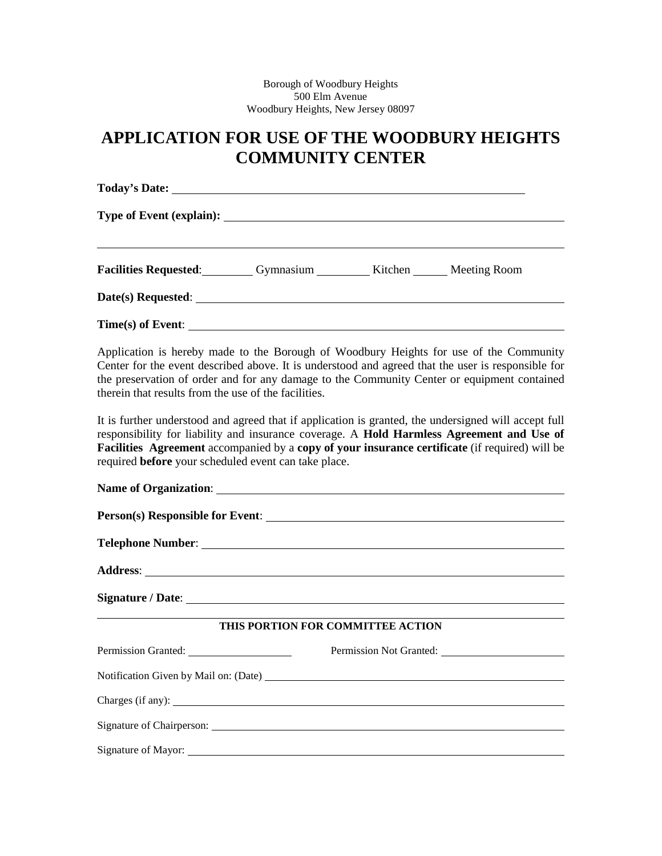# **APPLICATION FOR USE OF THE WOODBURY HEIGHTS COMMUNITY CENTER**

| <b>Facilities Requested:</b> Gymnasium ___________ Kitchen _______ Meeting Room                                                                                                              |  |  |
|----------------------------------------------------------------------------------------------------------------------------------------------------------------------------------------------|--|--|
|                                                                                                                                                                                              |  |  |
|                                                                                                                                                                                              |  |  |
| Application is hereby made to the Borough of Woodbury Heights for use of the Community<br>Center for the event described above. It is understood and agreed that the user is responsible for |  |  |

Center for the event described above. It is understood and agreed that the user is responsible for the preservation of order and for any damage to the Community Center or equipment contained therein that results from the use of the facilities.

It is further understood and agreed that if application is granted, the undersigned will accept full responsibility for liability and insurance coverage. A **Hold Harmless Agreement and Use of Facilities Agreement** accompanied by a **copy of your insurance certificate** (if required) will be required **before** your scheduled event can take place.

| THIS PORTION FOR COMMITTEE ACTION |                                       |  |  |  |
|-----------------------------------|---------------------------------------|--|--|--|
|                                   |                                       |  |  |  |
|                                   | Notification Given by Mail on: (Date) |  |  |  |
|                                   |                                       |  |  |  |
|                                   |                                       |  |  |  |
| Signature of Mayor:               |                                       |  |  |  |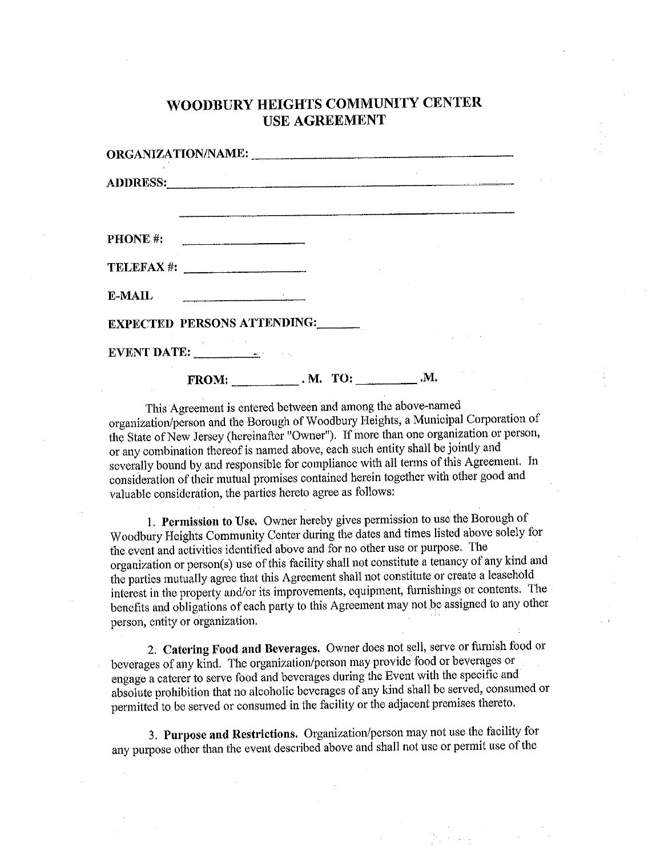# WOODBURY HEIGHTS COMMUNITY CENTER **USE AGREEMENT**

|                 |                                            | <u> 1980 - Jacques Jacques (f. 1986)</u><br>1905 - Paul Barbert (f. 1986) |  |
|-----------------|--------------------------------------------|---------------------------------------------------------------------------|--|
| <b>PHONE</b> #: |                                            |                                                                           |  |
|                 | $\text{TELEFAX}$ #: $\qquad \qquad \qquad$ |                                                                           |  |
| E-MAIL          |                                            |                                                                           |  |
|                 |                                            | <b>EXPECTED PERSONS ATTENDING:</b>                                        |  |
|                 | EVENT DATE:                                |                                                                           |  |
|                 | <b>FROM:</b>                               |                                                                           |  |

This Agreement is entered between and among the above-named organization/person and the Borough of Woodbury Heights, a Municipal Corporation of the State of New Jersey (hereinafter "Owner"). If more than one organization or person, or any combination thereof is named above, each such entity shall be jointly and severally bound by and responsible for compliance with all terms of this Agreement. In consideration of their mutual promises contained herein together with other good and valuable consideration, the parties hereto agree as follows:

1. Permission to Use. Owner hereby gives permission to use the Borough of Woodbury Heights Community Center during the dates and times listed above solely for the event and activities identified above and for no other use or purpose. The organization or person(s) use of this facility shall not constitute a tenancy of any kind and the parties mutually agree that this Agreement shall not constitute or create a leasehold interest in the property and/or its improvements, equipment, furnishings or contents. The benefits and obligations of each party to this Agreement may not be assigned to any other person, entity or organization.

2. Catering Food and Beverages. Owner does not sell, serve or furnish food or beverages of any kind. The organization/person may provide food or beverages or engage a caterer to serve food and beverages during the Event with the specific and absolute prohibition that no alcoholic beverages of any kind shall be served, consumed or permitted to be served or consumed in the facility or the adjacent premises thereto.

3. Purpose and Restrictions. Organization/person may not use the facility for any purpose other than the event described above and shall not use or permit use of the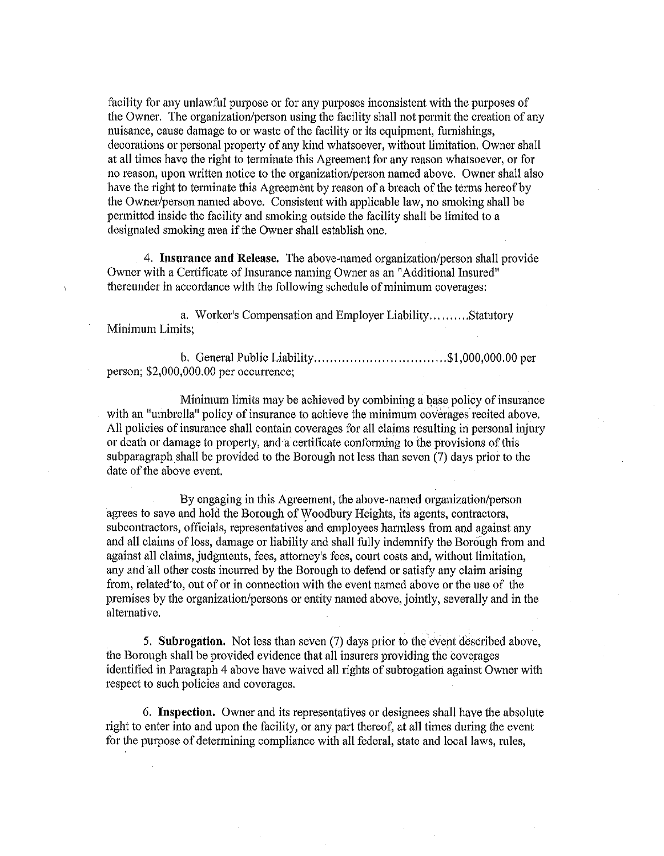facility for any unlawful purpose or for any purposes inconsistent with the purposes of the Owner. The organization/person using the facility shall not permit the creation of any nuisance, cause damage to or waste of the facility or its equipment, furnishings, decorations or personal property of any kind whatsoever, without limitation. Owner shall at all times have the right to terminate this Agreement for any reason whatsoever, or for no reason, upon written notice to the organization/person named above. Owner shall also have the right to terminate this Agreement by reason of a breach of the terms hereof by the Owner/person named above. Consistent with applicable law, no smoking shall be permitted inside the facility and smoking outside the facility shall be limited to a designated smoking area if the Owner shall establish one.

4. Insurance and Release. The above-named organization/person shall provide Owner with a Certificate of Insurance naming Owner as an "Additional Insured" thereunder in accordance with the following schedule of minimum coverages:

a. Worker's Compensation and Employer Liability..........Statutory Minimum Limits;

person;  $$2,000,000.00$  per occurrence;

Minimum limits may be achieved by combining a base policy of insurance with an "umbrella" policy of insurance to achieve the minimum coverages recited above. All policies of insurance shall contain coverages for all claims resulting in personal injury or death or damage to property, and a certificate conforming to the provisions of this subparagraph shall be provided to the Borough not less than seven (7) days prior to the date of the above event.

By engaging in this Agreement, the above-named organization/person agrees to save and hold the Borough of Woodbury Heights, its agents, contractors, subcontractors, officials, representatives and employees harmless from and against any and all claims of loss, damage or liability and shall fully indemnify the Borough from and against all claims, judgments, fees, attorney's fees, court costs and, without limitation, any and all other costs incurred by the Borough to defend or satisfy any claim arising from, related to, out of or in connection with the event named above or the use of the premises by the organization/persons or entity named above, jointly, severally and in the alternative.

5. Subrogation. Not less than seven (7) days prior to the event described above, the Borough shall be provided evidence that all insurers providing the coverages identified in Paragraph 4 above have waived all rights of subrogation against Owner with respect to such policies and coverages.

6. Inspection. Owner and its representatives or designees shall have the absolute right to enter into and upon the facility, or any part thereof, at all times during the event for the purpose of determining compliance with all federal, state and local laws, rules,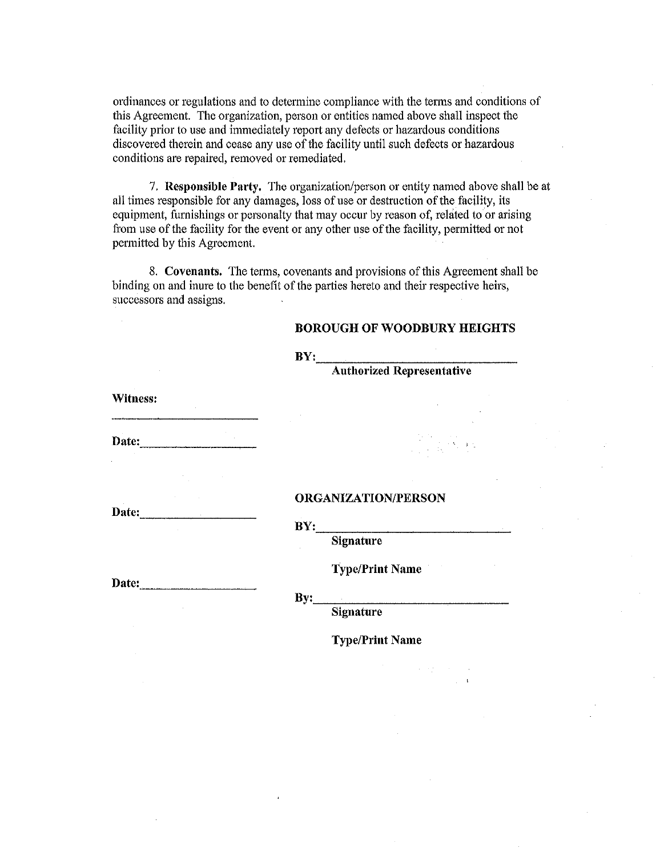ordinances or regulations and to determine compliance with the terms and conditions of this Agreement. The organization, person or entities named above shall inspect the facility prior to use and immediately report any defects or hazardous conditions discovered therein and cease any use of the facility until such defects or hazardous conditions are repaired, removed or remediated.

7. Responsible Party. The organization/person or entity named above shall be at all times responsible for any damages, loss of use or destruction of the facility, its equipment, furnishings or personalty that may occur by reason of, related to or arising from use of the facility for the event or any other use of the facility, permitted or not permitted by this Agreement.

8. Covenants. The terms, covenants and provisions of this Agreement shall be binding on and inure to the benefit of the parties hereto and their respective heirs, successors and assigns.

#### **BOROUGH OF WOODBURY HEIGHTS**

|          | BY:                                                                                                                                                     |  |  |
|----------|---------------------------------------------------------------------------------------------------------------------------------------------------------|--|--|
|          | Authorized Representative                                                                                                                               |  |  |
| Witness: |                                                                                                                                                         |  |  |
|          | $\frac{1}{\sqrt{2}}\left(\frac{1}{2}\right)^2\left(\frac{1}{2}\right)^2\left(\frac{1}{2}\right)^2\left(\frac{1}{2}\right)^2\left(\frac{1}{2}\right)^2.$ |  |  |
|          |                                                                                                                                                         |  |  |
| Date:    | <b>ORGANIZATION/PERSON</b><br>BY:                                                                                                                       |  |  |
|          | <b>Signature</b><br><b>Type/Print Name</b>                                                                                                              |  |  |
| Date:    | By:<br>.<br>1. september – Jacob Land, september 1980, september 1980, september 1980, september 1980, september 1980, se<br>Signature                  |  |  |
|          | <b>Type/Print Name</b>                                                                                                                                  |  |  |
|          |                                                                                                                                                         |  |  |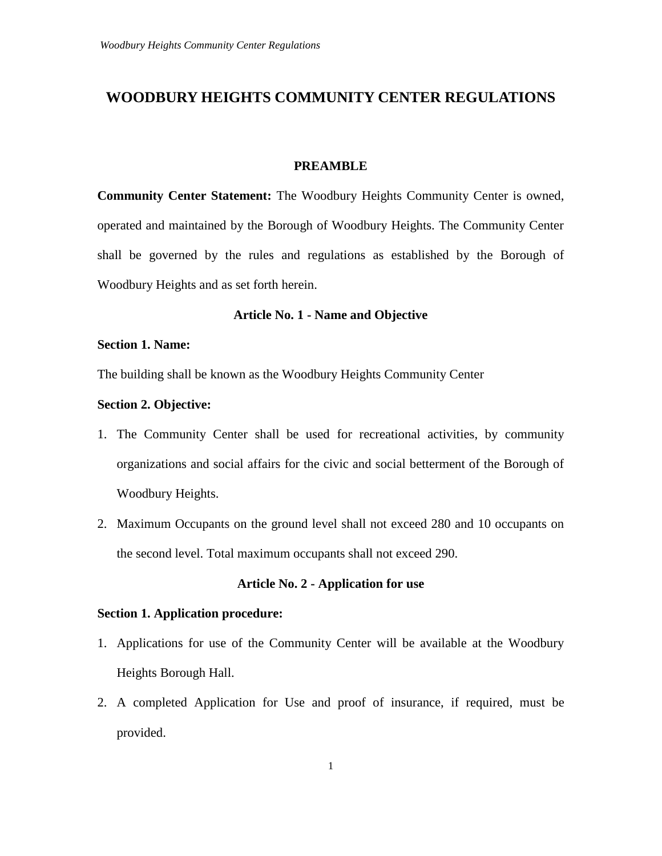## **WOODBURY HEIGHTS COMMUNITY CENTER REGULATIONS**

#### **PREAMBLE**

**Community Center Statement:** The Woodbury Heights Community Center is owned, operated and maintained by the Borough of Woodbury Heights. The Community Center shall be governed by the rules and regulations as established by the Borough of Woodbury Heights and as set forth herein.

### **Article No. 1 - Name and Objective**

#### **Section 1. Name:**

The building shall be known as the Woodbury Heights Community Center

#### **Section 2. Objective:**

- 1. The Community Center shall be used for recreational activities, by community organizations and social affairs for the civic and social betterment of the Borough of Woodbury Heights.
- 2. Maximum Occupants on the ground level shall not exceed 280 and 10 occupants on the second level. Total maximum occupants shall not exceed 290.

#### **Article No. 2 - Application for use**

#### **Section 1. Application procedure:**

- 1. Applications for use of the Community Center will be available at the Woodbury Heights Borough Hall.
- 2. A completed Application for Use and proof of insurance, if required, must be provided.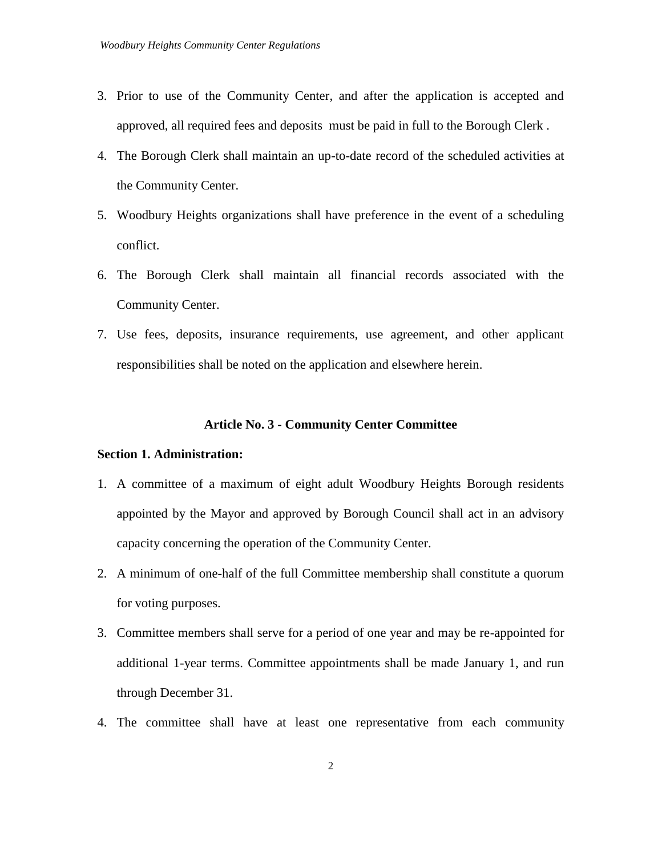- 3. Prior to use of the Community Center, and after the application is accepted and approved, all required fees and deposits must be paid in full to the Borough Clerk .
- 4. The Borough Clerk shall maintain an up-to-date record of the scheduled activities at the Community Center.
- 5. Woodbury Heights organizations shall have preference in the event of a scheduling conflict.
- 6. The Borough Clerk shall maintain all financial records associated with the Community Center.
- 7. Use fees, deposits, insurance requirements, use agreement, and other applicant responsibilities shall be noted on the application and elsewhere herein.

#### **Article No. 3 - Community Center Committee**

#### **Section 1. Administration:**

- 1. A committee of a maximum of eight adult Woodbury Heights Borough residents appointed by the Mayor and approved by Borough Council shall act in an advisory capacity concerning the operation of the Community Center.
- 2. A minimum of one-half of the full Committee membership shall constitute a quorum for voting purposes.
- 3. Committee members shall serve for a period of one year and may be re-appointed for additional 1-year terms. Committee appointments shall be made January 1, and run through December 31.
- 4. The committee shall have at least one representative from each community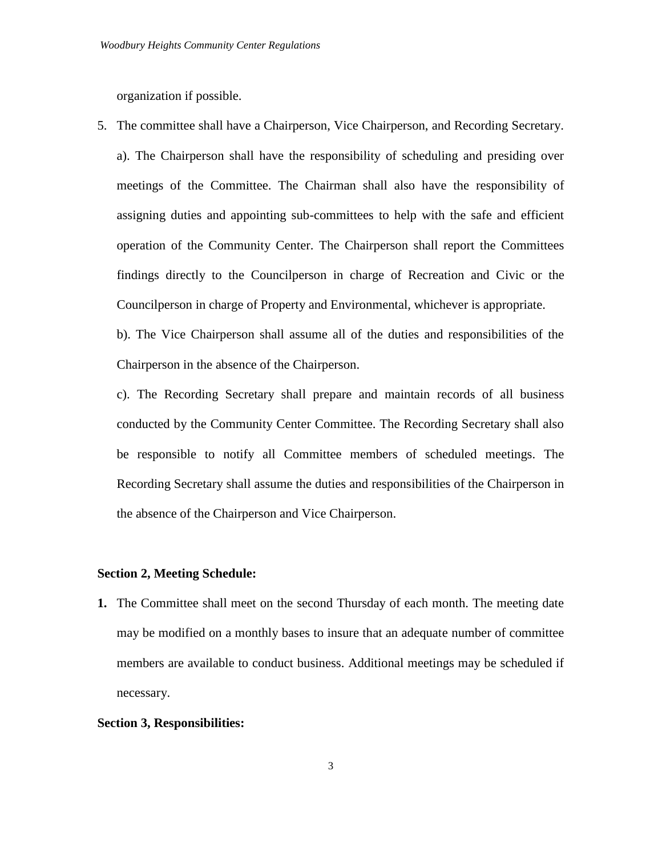organization if possible.

5. The committee shall have a Chairperson, Vice Chairperson, and Recording Secretary. a). The Chairperson shall have the responsibility of scheduling and presiding over meetings of the Committee. The Chairman shall also have the responsibility of assigning duties and appointing sub-committees to help with the safe and efficient operation of the Community Center. The Chairperson shall report the Committees findings directly to the Councilperson in charge of Recreation and Civic or the Councilperson in charge of Property and Environmental, whichever is appropriate.

b). The Vice Chairperson shall assume all of the duties and responsibilities of the Chairperson in the absence of the Chairperson.

c). The Recording Secretary shall prepare and maintain records of all business conducted by the Community Center Committee. The Recording Secretary shall also be responsible to notify all Committee members of scheduled meetings. The Recording Secretary shall assume the duties and responsibilities of the Chairperson in the absence of the Chairperson and Vice Chairperson.

#### **Section 2, Meeting Schedule:**

**1.** The Committee shall meet on the second Thursday of each month. The meeting date may be modified on a monthly bases to insure that an adequate number of committee members are available to conduct business. Additional meetings may be scheduled if necessary.

#### **Section 3, Responsibilities:**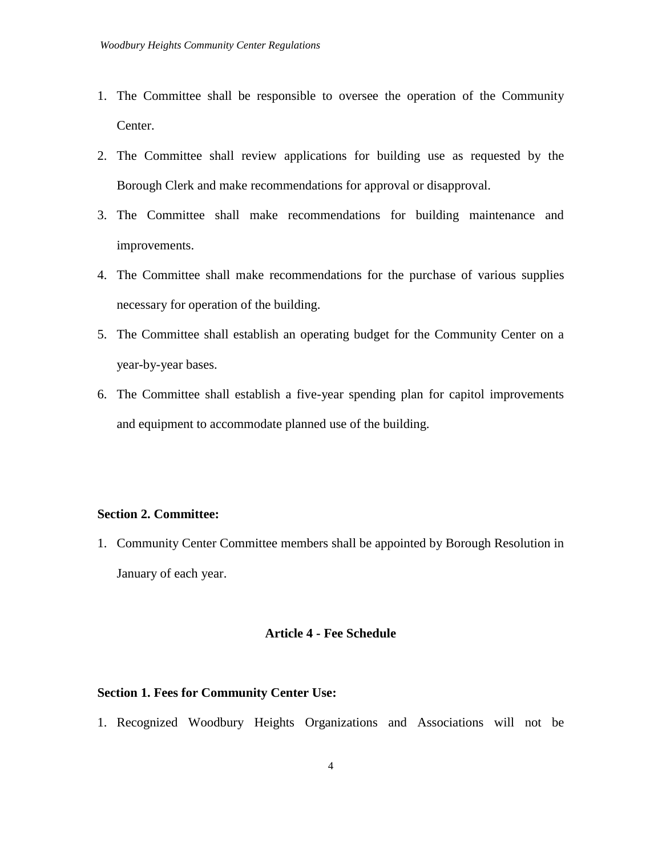- 1. The Committee shall be responsible to oversee the operation of the Community Center.
- 2. The Committee shall review applications for building use as requested by the Borough Clerk and make recommendations for approval or disapproval.
- 3. The Committee shall make recommendations for building maintenance and improvements.
- 4. The Committee shall make recommendations for the purchase of various supplies necessary for operation of the building.
- 5. The Committee shall establish an operating budget for the Community Center on a year-by-year bases.
- 6. The Committee shall establish a five-year spending plan for capitol improvements and equipment to accommodate planned use of the building.

#### **Section 2. Committee:**

1. Community Center Committee members shall be appointed by Borough Resolution in January of each year.

#### **Article 4 - Fee Schedule**

#### **Section 1. Fees for Community Center Use:**

1. Recognized Woodbury Heights Organizations and Associations will not be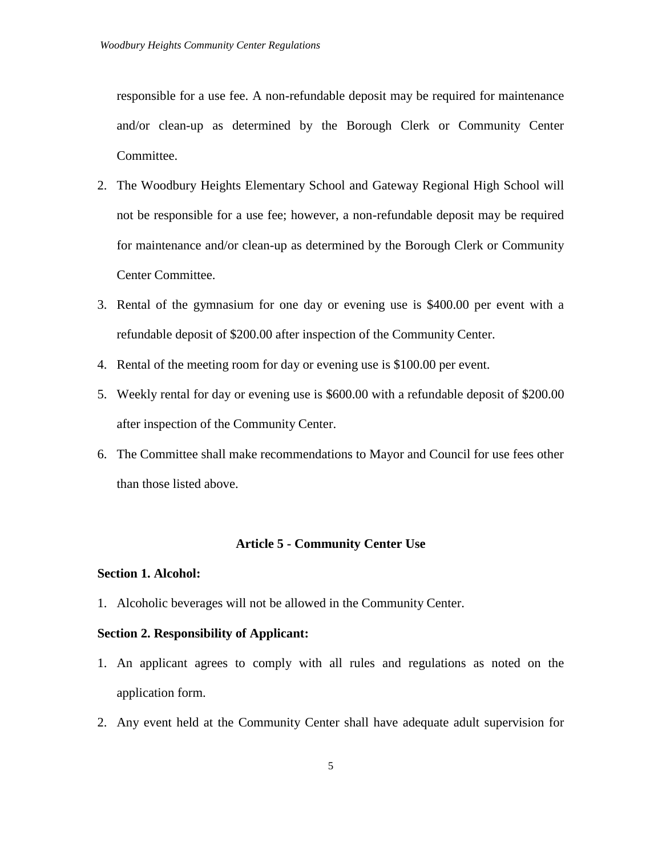responsible for a use fee. A non-refundable deposit may be required for maintenance and/or clean-up as determined by the Borough Clerk or Community Center Committee.

- 2. The Woodbury Heights Elementary School and Gateway Regional High School will not be responsible for a use fee; however, a non-refundable deposit may be required for maintenance and/or clean-up as determined by the Borough Clerk or Community Center Committee.
- 3. Rental of the gymnasium for one day or evening use is \$400.00 per event with a refundable deposit of \$200.00 after inspection of the Community Center.
- 4. Rental of the meeting room for day or evening use is \$100.00 per event.
- 5. Weekly rental for day or evening use is \$600.00 with a refundable deposit of \$200.00 after inspection of the Community Center.
- 6. The Committee shall make recommendations to Mayor and Council for use fees other than those listed above.

#### **Article 5 - Community Center Use**

#### **Section 1. Alcohol:**

1. Alcoholic beverages will not be allowed in the Community Center.

#### **Section 2. Responsibility of Applicant:**

- 1. An applicant agrees to comply with all rules and regulations as noted on the application form.
- 2. Any event held at the Community Center shall have adequate adult supervision for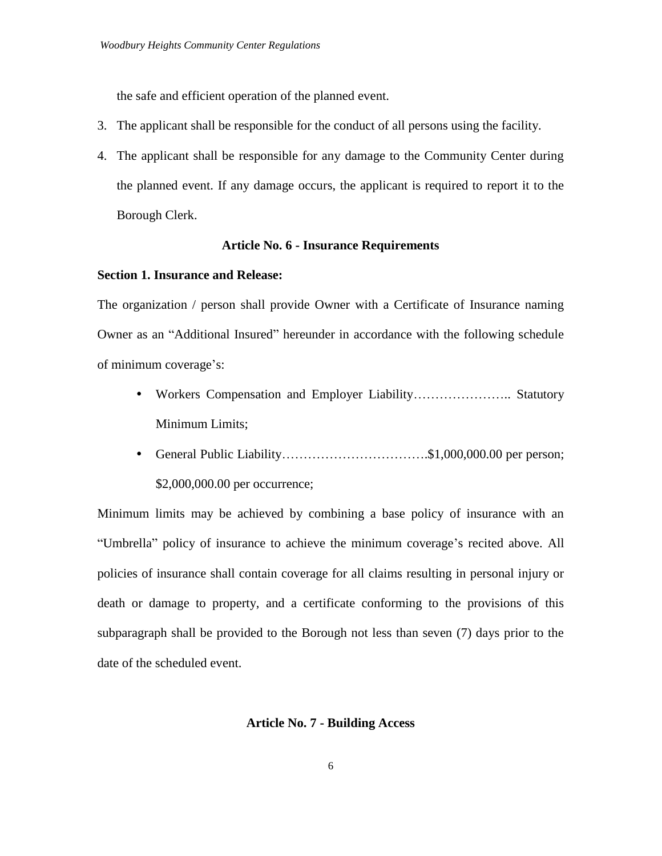the safe and efficient operation of the planned event.

- 3. The applicant shall be responsible for the conduct of all persons using the facility.
- 4. The applicant shall be responsible for any damage to the Community Center during the planned event. If any damage occurs, the applicant is required to report it to the Borough Clerk.

#### **Article No. 6 - Insurance Requirements**

#### **Section 1. Insurance and Release:**

The organization / person shall provide Owner with a Certificate of Insurance naming Owner as an "Additional Insured" hereunder in accordance with the following schedule of minimum coverage's:

- Workers Compensation and Employer Liability………………….. Statutory Minimum Limits;
- General Public Liability…………………………….\$1,000,000.00 per person; \$2,000,000.00 per occurrence;

Minimum limits may be achieved by combining a base policy of insurance with an "Umbrella" policy of insurance to achieve the minimum coverage's recited above. All policies of insurance shall contain coverage for all claims resulting in personal injury or death or damage to property, and a certificate conforming to the provisions of this subparagraph shall be provided to the Borough not less than seven (7) days prior to the date of the scheduled event.

#### **Article No. 7 - Building Access**